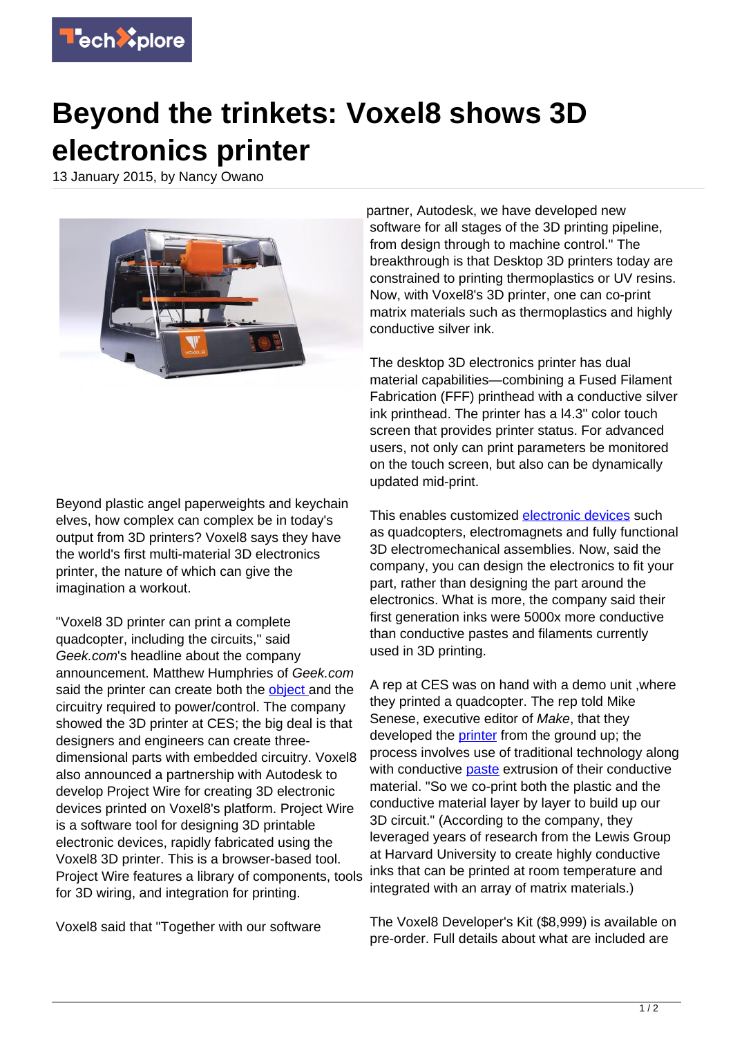

## **Beyond the trinkets: Voxel8 shows 3D electronics printer**

13 January 2015, by Nancy Owano



Beyond plastic angel paperweights and keychain elves, how complex can complex be in today's output from 3D printers? Voxel8 says they have the world's first multi-material 3D electronics printer, the nature of which can give the imagination a workout.

"Voxel8 3D printer can print a complete quadcopter, including the circuits," said Geek.com's headline about the company announcement. Matthew Humphries of Geek.com said the printer can create both the [object a](http://www.geek.com/chips/voxel8-3d-printer-can-print-a-complete-quadcopter-including-the-electronics-1613166/)nd the circuitry required to power/control. The company showed the 3D printer at CES; the big deal is that designers and engineers can create threedimensional parts with embedded circuitry. Voxel8 also announced a partnership with Autodesk to develop Project Wire for creating 3D electronic devices printed on Voxel8's platform. Project Wire is a software tool for designing 3D printable electronic devices, rapidly fabricated using the Voxel8 3D printer. This is a browser-based tool. Project Wire features a library of components, tools for 3D wiring, and integration for printing.

Voxel8 said that "Together with our software

partner, Autodesk, we have developed new software for all stages of the 3D printing pipeline. from design through to machine control." The breakthrough is that Desktop 3D printers today are constrained to printing thermoplastics or UV resins. Now, with Voxel8's 3D printer, one can co-print matrix materials such as thermoplastics and highly conductive silver ink.

The desktop 3D electronics printer has dual material capabilities—combining a Fused Filament Fabrication (FFF) printhead with a conductive silver ink printhead. The printer has a l4.3" color touch screen that provides printer status. For advanced users, not only can print parameters be monitored on the touch screen, but also can be dynamically updated mid-print.

This enables customized [electronic devices](https://techxplore.com/tags/electronic+devices/) such as quadcopters, electromagnets and fully functional 3D electromechanical assemblies. Now, said the company, you can design the electronics to fit your part, rather than designing the part around the electronics. What is more, the company said their first generation inks were 5000x more conductive than conductive pastes and filaments currently used in 3D printing.

A rep at CES was on hand with a demo unit ,where they printed a quadcopter. The rep told Mike Senese, executive editor of Make, that they developed the [printer](https://techxplore.com/tags/printer/) from the ground up; the process involves use of traditional technology along with conductive **paste** extrusion of their conductive material. "So we co-print both the plastic and the conductive material layer by layer to build up our 3D circuit." (According to the company, they leveraged years of research from the Lewis Group at Harvard University to create highly conductive inks that can be printed at room temperature and integrated with an array of matrix materials.)

The Voxel8 Developer's Kit (\$8,999) is available on pre-order. Full details about what are included are